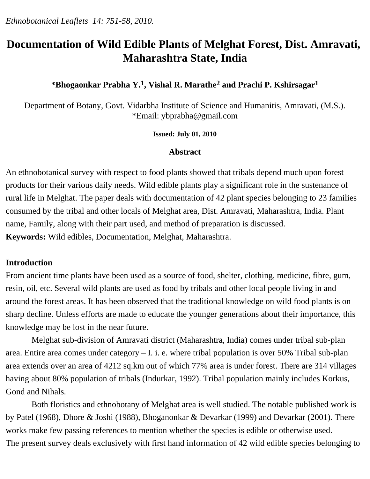# **Documentation of Wild Edible Plants of Melghat Forest, Dist. Amravati, Maharashtra State, India**

# **\*Bhogaonkar Prabha Y.1, Vishal R. Marathe2 and Prachi P. Kshirsagar1**

Department of Botany, Govt. Vidarbha Institute of Science and Humanitis, Amravati, (M.S.). \*Email: ybprabha@gmail.com

#### **Issued: July 01, 2010**

#### **Abstract**

An ethnobotanical survey with respect to food plants showed that tribals depend much upon forest products for their various daily needs. Wild edible plants play a significant role in the sustenance of rural life in Melghat. The paper deals with documentation of 42 plant species belonging to 23 families consumed by the tribal and other locals of Melghat area, Dist. Amravati, Maharashtra, India. Plant name, Family, along with their part used, and method of preparation is discussed. **Keywords:** Wild edibles, Documentation, Melghat, Maharashtra.

#### **Introduction**

From ancient time plants have been used as a source of food, shelter, clothing, medicine, fibre, gum, resin, oil, etc. Several wild plants are used as food by tribals and other local people living in and around the forest areas. It has been observed that the traditional knowledge on wild food plants is on sharp decline. Unless efforts are made to educate the younger generations about their importance, this knowledge may be lost in the near future.

 Melghat sub-division of Amravati district (Maharashtra, India) comes under tribal sub-plan area. Entire area comes under category – I. i. e. where tribal population is over 50% Tribal sub-plan area extends over an area of 4212 sq.km out of which 77% area is under forest. There are 314 villages having about 80% population of tribals (Indurkar, 1992). Tribal population mainly includes Korkus, Gond and Nihals.

 Both floristics and ethnobotany of Melghat area is well studied. The notable published work is by Patel (1968), Dhore & Joshi (1988), Bhoganonkar & Devarkar (1999) and Devarkar (2001). There works make few passing references to mention whether the species is edible or otherwise used. The present survey deals exclusively with first hand information of 42 wild edible species belonging to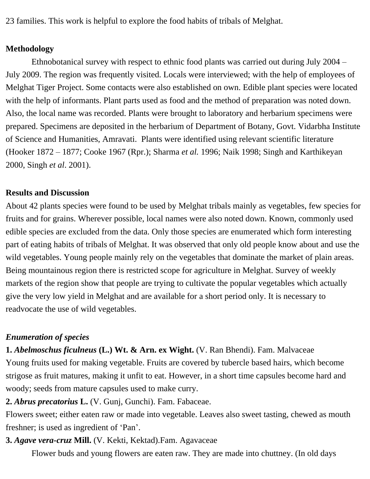23 families. This work is helpful to explore the food habits of tribals of Melghat.

### **Methodology**

 Ethnobotanical survey with respect to ethnic food plants was carried out during July 2004 – July 2009. The region was frequently visited. Locals were interviewed; with the help of employees of Melghat Tiger Project. Some contacts were also established on own. Edible plant species were located with the help of informants. Plant parts used as food and the method of preparation was noted down. Also, the local name was recorded. Plants were brought to laboratory and herbarium specimens were prepared. Specimens are deposited in the herbarium of Department of Botany, Govt. Vidarbha Institute of Science and Humanities, Amravati. Plants were identified using relevant scientific literature (Hooker 1872 – 1877; Cooke 1967 (Rpr.); Sharma *et al.* 1996; Naik 1998; Singh and Karthikeyan 2000, Singh *et al*. 2001).

#### **Results and Discussion**

About 42 plants species were found to be used by Melghat tribals mainly as vegetables, few species for fruits and for grains. Wherever possible, local names were also noted down. Known, commonly used edible species are excluded from the data. Only those species are enumerated which form interesting part of eating habits of tribals of Melghat. It was observed that only old people know about and use the wild vegetables. Young people mainly rely on the vegetables that dominate the market of plain areas. Being mountainous region there is restricted scope for agriculture in Melghat. Survey of weekly markets of the region show that people are trying to cultivate the popular vegetables which actually give the very low yield in Melghat and are available for a short period only. It is necessary to readvocate the use of wild vegetables.

#### *Enumeration of species*

**1.** *Abelmoschus ficulneus* **(L.) Wt. & Arn. ex Wight.** (V. Ran Bhendi). Fam. Malvaceae Young fruits used for making vegetable. Fruits are covered by tubercle based hairs, which become strigose as fruit matures, making it unfit to eat. However, in a short time capsules become hard and woody; seeds from mature capsules used to make curry.

**2.** *Abrus precatorius* **L.** (V. Gunj, Gunchi). Fam. Fabaceae.

Flowers sweet; either eaten raw or made into vegetable. Leaves also sweet tasting, chewed as mouth freshner; is used as ingredient of 'Pan'.

#### **3.** *Agave vera-cruz* **Mill.** (V. Kekti, Kektad).Fam. Agavaceae

Flower buds and young flowers are eaten raw. They are made into chuttney. (In old days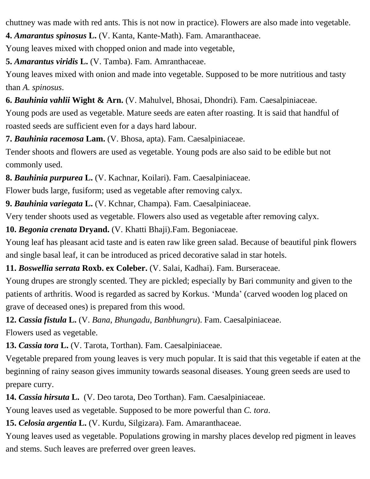chuttney was made with red ants. This is not now in practice). Flowers are also made into vegetable.

**4.** *Amarantus spinosus* **L.** (V. Kanta, Kante-Math). Fam. Amaranthaceae.

Young leaves mixed with chopped onion and made into vegetable,

**5.** *Amarantus viridis* **L.** (V. Tamba). Fam. Amranthaceae.

Young leaves mixed with onion and made into vegetable. Supposed to be more nutritious and tasty than *A. spinosus*.

**6.** *Bauhinia vahlii* **Wight & Arn.** (V. Mahulvel, Bhosai, Dhondri). Fam. Caesalpiniaceae.

Young pods are used as vegetable. Mature seeds are eaten after roasting. It is said that handful of roasted seeds are sufficient even for a days hard labour.

**7.** *Bauhinia racemosa* **Lam.** (V. Bhosa, apta). Fam. Caesalpiniaceae.

Tender shoots and flowers are used as vegetable. Young pods are also said to be edible but not commonly used.

**8.** *Bauhinia purpurea* **L.** (V. Kachnar, Koilari). Fam. Caesalpiniaceae.

Flower buds large, fusiform; used as vegetable after removing calyx.

**9.** *Bauhinia variegata* **L.** (V. Kchnar, Champa). Fam. Caesalpiniaceae.

Very tender shoots used as vegetable. Flowers also used as vegetable after removing calyx.

**10.** *Begonia crenata* **Dryand.** (V. Khatti Bhaji).Fam. Begoniaceae.

Young leaf has pleasant acid taste and is eaten raw like green salad. Because of beautiful pink flowers and single basal leaf, it can be introduced as priced decorative salad in star hotels.

**11.** *Boswellia serrata* **Roxb. ex Coleber.** (V. Salai, Kadhai). Fam. Burseraceae.

Young drupes are strongly scented. They are pickled; especially by Bari community and given to the patients of arthritis. Wood is regarded as sacred by Korkus. 'Munda' (carved wooden log placed on grave of deceased ones) is prepared from this wood.

**12.** *Cassia fistula* **L.** (V. *Bana*, *Bhungadu*, *Banbhungru*). Fam. Caesalpiniaceae.

Flowers used as vegetable.

**13.** *Cassia tora* **L.** (V. Tarota, Torthan). Fam. Caesalpiniaceae.

Vegetable prepared from young leaves is very much popular. It is said that this vegetable if eaten at the beginning of rainy season gives immunity towards seasonal diseases. Young green seeds are used to prepare curry.

**14.** *Cassia hirsuta* **L.** (V. Deo tarota, Deo Torthan). Fam. Caesalpiniaceae.

Young leaves used as vegetable. Supposed to be more powerful than *C. tora*.

**15.** *Celosia argentia* **L.** (V. Kurdu, Silgizara). Fam. Amaranthaceae.

Young leaves used as vegetable. Populations growing in marshy places develop red pigment in leaves and stems. Such leaves are preferred over green leaves.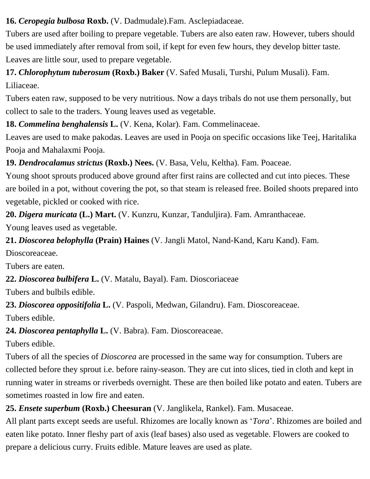**16.** *Ceropegia bulbosa* **Roxb.** (V. Dadmudale).Fam. Asclepiadaceae.

Tubers are used after boiling to prepare vegetable. Tubers are also eaten raw. However, tubers should be used immediately after removal from soil, if kept for even few hours, they develop bitter taste. Leaves are little sour, used to prepare vegetable.

**17.** *Chlorophytum tuberosum* **(Roxb.) Baker** (V. Safed Musali, Turshi, Pulum Musali). Fam. Liliaceae.

Tubers eaten raw, supposed to be very nutritious. Now a days tribals do not use them personally, but collect to sale to the traders. Young leaves used as vegetable.

**18.** *Commelina benghalensis* **L.** (V. Kena, Kolar). Fam. Commelinaceae.

Leaves are used to make pakodas. Leaves are used in Pooja on specific occasions like Teej, Haritalika Pooja and Mahalaxmi Pooja.

**19.** *Dendrocalamus strictus* **(Roxb.) Nees.** (V. Basa, Velu, Keltha). Fam. Poaceae.

Young shoot sprouts produced above ground after first rains are collected and cut into pieces. These are boiled in a pot, without covering the pot, so that steam is released free. Boiled shoots prepared into vegetable, pickled or cooked with rice.

**20.** *Digera muricata* **(L.) Mart.** (V. Kunzru, Kunzar, Tanduljira). Fam. Amranthaceae.

Young leaves used as vegetable.

**21.** *Dioscorea belophylla* **(Prain) Haines** (V. Jangli Matol, Nand-Kand, Karu Kand). Fam.

Dioscoreaceae.

Tubers are eaten.

**22.** *Dioscorea bulbifera* **L.** (V. Matalu, Bayal). Fam. Dioscoriaceae

Tubers and bulbils edible.

**23.** *Dioscorea oppositifolia* **L.** (V. Paspoli, Medwan, Gilandru). Fam. Dioscoreaceae.

Tubers edible.

**24.** *Dioscorea pentaphylla* **L.** (V. Babra). Fam. Dioscoreaceae.

Tubers edible.

Tubers of all the species of *Dioscorea* are processed in the same way for consumption. Tubers are collected before they sprout i.e. before rainy-season. They are cut into slices, tied in cloth and kept in running water in streams or riverbeds overnight. These are then boiled like potato and eaten. Tubers are sometimes roasted in low fire and eaten.

# **25.** *Ensete superbum* **(Roxb.) Cheesuran** (V. Janglikela, Rankel). Fam. Musaceae.

All plant parts except seeds are useful. Rhizomes are locally known as '*Tora*'. Rhizomes are boiled and eaten like potato. Inner fleshy part of axis (leaf bases) also used as vegetable. Flowers are cooked to prepare a delicious curry. Fruits edible. Mature leaves are used as plate.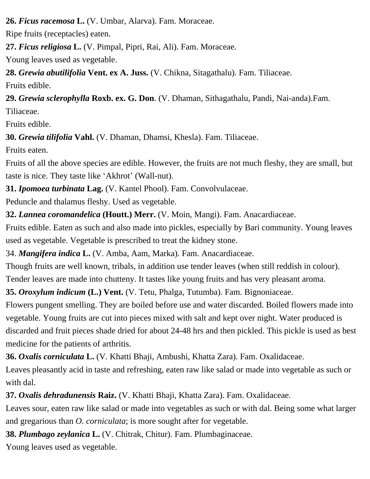**26.** *Ficus racemosa* **L.** (V. Umbar, Alarva). Fam. Moraceae.

Ripe fruits (receptacles) eaten.

**27.** *Ficus religiosa* **L.** (V. Pimpal, Pipri, Rai, Ali). Fam. Moraceae.

Young leaves used as vegetable.

**28.** *Grewia abutilifolia* **Vent. ex A. Juss.** (V. Chikna, Sitagathalu). Fam. Tiliaceae.

Fruits edible.

**29.** *Grewia sclerophylla* **Roxb. ex. G. Don**. (V. Dhaman, Sithagathalu, Pandi, Nai-anda).Fam. Tiliaceae.

Fruits edible.

**30.** *Grewia tilifolia* **Vahl.** (V. Dhaman, Dhamsi, Khesla). Fam. Tiliaceae.

Fruits eaten.

Fruits of all the above species are edible. However, the fruits are not much fleshy, they are small, but taste is nice. They taste like 'Akhrot' (Wall-nut).

**31.** *Ipomoea turbinata* **Lag.** (V. Kantel Phool). Fam. Convolvulaceae.

Peduncle and thalamus fleshy. Used as vegetable.

**32.** *Lannea coromandelica* **(Houtt.) Merr.** (V. Moin, Mangi). Fam. Anacardiaceae.

Fruits edible. Eaten as such and also made into pickles, especially by Bari community. Young leaves used as vegetable. Vegetable is prescribed to treat the kidney stone.

34. *Mangifera indica* **L.** (V. Amba, Aam, Marka). Fam. Anacardiaceae.

Though fruits are well known, tribals, in addition use tender leaves (when still reddish in colour).

Tender leaves are made into chutteny. It tastes like young fruits and has very pleasant aroma.

**35.** *Oroxylum indicum* **(L.) Vent.** (V. Tetu, Phalga, Tutumba). Fam. Bignoniaceae.

Flowers pungent smelling. They are boiled before use and water discarded. Boiled flowers made into vegetable. Young fruits are cut into pieces mixed with salt and kept over night. Water produced is discarded and fruit pieces shade dried for about 24-48 hrs and then pickled. This pickle is used as best medicine for the patients of arthritis.

**36.** *Oxalis corniculata* **L.** (V. Khatti Bhaji, Ambushi, Khatta Zara). Fam. Oxalidaceae.

Leaves pleasantly acid in taste and refreshing, eaten raw like salad or made into vegetable as such or with dal.

**37.** *Oxalis dehradunensis* **Raiz.** (V. Khatti Bhaji, Khatta Zara). Fam. Oxalidaceae.

Leaves sour, eaten raw like salad or made into vegetables as such or with dal. Being some what larger and gregarious than *O. corniculata*; is more sought after for vegetable.

**38.** *Plumbago zeylanica* **L.** (V. Chitrak, Chitur). Fam. Plumbaginaceae.

Young leaves used as vegetable.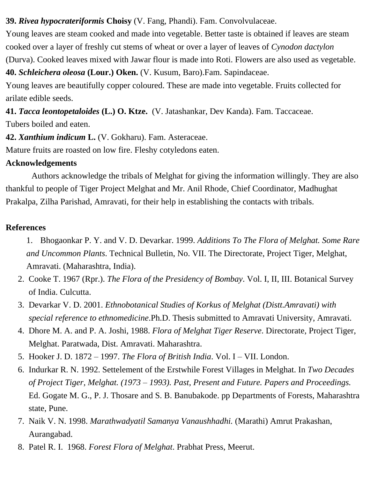**39.** *Rivea hypocrateriformis* **Choisy** (V. Fang, Phandi). Fam. Convolvulaceae.

Young leaves are steam cooked and made into vegetable. Better taste is obtained if leaves are steam cooked over a layer of freshly cut stems of wheat or over a layer of leaves of *Cynodon dactylon* (Durva). Cooked leaves mixed with Jawar flour is made into Roti. Flowers are also used as vegetable.

**40.** *Schleichera oleosa* **(Lour.) Oken.** (V. Kusum, Baro).Fam. Sapindaceae.

Young leaves are beautifully copper coloured. These are made into vegetable. Fruits collected for arilate edible seeds.

**41.** *Tacca leontopetaloides* **(L.) O. Ktze.** (V. Jatashankar, Dev Kanda). Fam. Taccaceae. Tubers boiled and eaten.

**42.** *Xanthium indicum* **L.** (V. Gokharu). Fam. Asteraceae.

Mature fruits are roasted on low fire. Fleshy cotyledons eaten.

## **Acknowledgements**

Authors acknowledge the tribals of Melghat for giving the information willingly. They are also thankful to people of Tiger Project Melghat and Mr. Anil Rhode, Chief Coordinator, Madhughat Prakalpa, Zilha Parishad, Amravati, for their help in establishing the contacts with tribals.

### **References**

- 1. Bhogaonkar P. Y. and V. D. Devarkar. 1999. *Additions To The Flora of Melghat. Some Rare and Uncommon Plants*. Technical Bulletin, No. VII. The Directorate, Project Tiger, Melghat, Amravati. (Maharashtra, India).
- 2. Cooke T. 1967 (Rpr.). *The Flora of the Presidency of Bombay*. Vol. I, II, III. Botanical Survey of India. Culcutta.
- 3. Devarkar V. D. 2001. *Ethnobotanical Studies of Korkus of Melghat (Distt.Amravati) with special reference to ethnomedicine*.Ph.D. Thesis submitted to Amravati University, Amravati.
- 4. Dhore M. A. and P. A. Joshi, 1988. *Flora of Melghat Tiger Reserve*. Directorate, Project Tiger, Melghat. Paratwada, Dist. Amravati. Maharashtra.
- 5. Hooker J. D. 1872 1997. *The Flora of British India*. Vol. I VII. London.
- 6. Indurkar R. N. 1992. Settelement of the Erstwhile Forest Villages in Melghat. In *Two Decades of Project Tiger, Melghat. (1973 – 1993). Past, Present and Future. Papers and Proceedings.* Ed. Gogate M. G., P. J. Thosare and S. B. Banubakode. pp Departments of Forests, Maharashtra state, Pune.
- 7. Naik V. N. 1998. *Marathwadyatil Samanya Vanaushhadhi.* (Marathi) Amrut Prakashan, Aurangabad.
- 8. Patel R. I. 1968. *Forest Flora of Melghat*. Prabhat Press, Meerut.